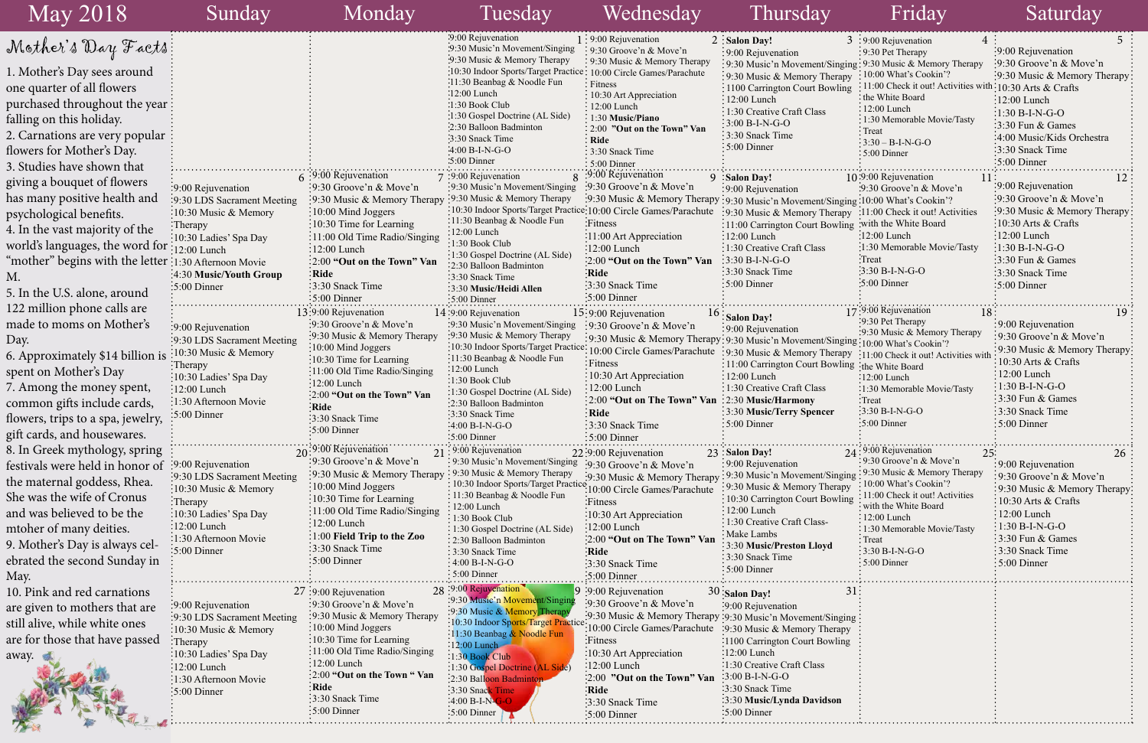|      | 3 :9:00 Rejuvenation<br>$\overline{4}$                   | 5                                                       |
|------|----------------------------------------------------------|---------------------------------------------------------|
|      | 9:30 Pet Therapy                                         | :9:00 Rejuvenation                                      |
| ging | $\frac{1}{2}$ 9:30 Music & Memory Therapy                | :9:30 Groove'n & Move'n                                 |
| pу   | 10:00 What's Cookin'?                                    | 9:30 Music & Memory Therapy                             |
| ng   | 11:00 Check it out! Activities with: 10:30 Arts & Crafts |                                                         |
|      | the White Board                                          | 12:00 Lunch                                             |
|      | 12:00 Lunch                                              | $1:30 B-I-N-G-O$                                        |
|      | 1:30 Memorable Movie/Tasty                               | 3:30 Fun & Games                                        |
|      | Treat                                                    | 4:00 Music/Kids Orchestra                               |
|      | $3:30 - B-I-N-G-O$                                       |                                                         |
|      | 5:00 Dinner                                              | 3:30 Snack Time                                         |
|      |                                                          | 5:00 Dinner                                             |
|      | 10:9:00 Rejuvenation<br>11                               | 12                                                      |
|      | :9:30 Groove'n & Move'n                                  | 9:00 Rejuvenation                                       |
|      | ging:10:00 What's Cookin'?                               | $\frac{1}{2}9:30$ Groove'n & Move'n                     |
| py   | :11:00 Check it out! Activities                          | 9:30 Music & Memory Therapy                             |
|      | ing :with the White Board                                | 10:30 Arts & Crafts                                     |
|      | $:12:00$ Lunch                                           | 12:00 Lunch                                             |
|      | 1:30 Memorable Movie/Tasty                               | $\frac{1:30 \text{ B-I-N-G-O}}{1:20 \text{ B-I-N-G-O}}$ |
|      | Treat <sup>:</sup>                                       | 3:30 Fun & Games                                        |
|      | $3:30 B-I-N-G-O$                                         | 3:30 Snack Time                                         |
|      | $5:00$ Dinner                                            | 5:00 Dinner                                             |
|      |                                                          |                                                         |
|      | 17:9:00 Rejuvenation                                     |                                                         |
|      | 18<br>9:30 Pet Therapy                                   | 19                                                      |
|      | :9:30 Music & Memory Therapy                             | 9:00 Rejuvenation                                       |
|      | ging:10:00 What's Cookin'?                               | 9:30 Groove'n & Move'n                                  |
|      | PY :11:00 Check it out! Activities with                  | 9:30 Music & Memory Therapy                             |
|      | ing the White Board                                      | 10:30 Arts & Crafts                                     |
|      | 12:00 Lunch                                              | 12:00 Lunch                                             |
|      | :1:30 Memorable Movie/Tasty                              | 1:30 B-I-N-G-O                                          |
|      | :Treat                                                   | 3:30 Fun & Games                                        |
|      | $3:30 B-I-N-G-O$                                         | 3:30 Snack Time                                         |
|      | $\cdot$ 5:00 Dinner                                      | 5:00 Dinner                                             |
|      |                                                          |                                                         |
|      | 24:9:00 Rejuvenation                                     |                                                         |
|      | 9:30 Groove'n & Move'n                                   | 25:<br>26                                               |
|      | 9:30 Music & Memory Therapy                              | 9:00 Rejuvenation                                       |
| ging | 10:00 What's Cookin'?                                    | 9:30 Groove'n & Move'n                                  |
| pу   | 11:00 Check it out! Activities                           | 9:30 Music & Memory Therapy:                            |
| ing  | with the White Board                                     | 10:30 Arts & Crafts                                     |
|      | 12:00 Lunch                                              | 12:00 Lunch                                             |
|      | 1:30 Memorable Movie/Tasty                               | $1:30 B-I-N-G-O$                                        |
|      | Treat                                                    | 3:30 Fun & Games                                        |
|      | $3:30 B-I-N-G-O$                                         | 3:30 Snack Time                                         |
|      | 5:00 Dinner                                              | 5:00 Dinner                                             |
|      |                                                          |                                                         |
| 31   |                                                          |                                                         |
|      |                                                          |                                                         |
|      |                                                          |                                                         |
| ing  |                                                          |                                                         |
| pу   |                                                          |                                                         |
| ng   |                                                          |                                                         |
|      |                                                          |                                                         |
|      |                                                          |                                                         |
|      |                                                          |                                                         |
|      |                                                          |                                                         |
|      |                                                          |                                                         |
|      |                                                          |                                                         |
|      |                                                          |                                                         |

| May 2018                                              | Sunday                                                        | Monday                                                                   | Tuesday                                                                                            | Wednesday                                                          | Thursday                                                                                                              | Friday                                                         | Saturday                                                                      |  |
|-------------------------------------------------------|---------------------------------------------------------------|--------------------------------------------------------------------------|----------------------------------------------------------------------------------------------------|--------------------------------------------------------------------|-----------------------------------------------------------------------------------------------------------------------|----------------------------------------------------------------|-------------------------------------------------------------------------------|--|
| Mother's Day Facts:                                   |                                                               |                                                                          | .9:00 Rejuvenation                                                                                 | $1:9:00$ Rejuvenation                                              | $2:$ Salon Day!                                                                                                       | $3:9:00$ Rejuvenation                                          |                                                                               |  |
|                                                       |                                                               |                                                                          | :9:30 Music'n Movement/Singing<br>9:30 Music & Memory Therapy                                      | : 9:30 Groove'n & Move'n<br>: 9:30 Music & Memory Therapy          | $\frac{1}{2}9:00$ Rejuvenation                                                                                        | :9:30 Pet Therapy                                              | :9:00 Rejuvenation                                                            |  |
| 1. Mother's Day sees around                           |                                                               |                                                                          | 10:30 Indoor Sports/Target Practice: 10:00 Circle Games/Parachute                                  |                                                                    | : 9:30 Music'n Movement/Singing: 9:30 Music & Memory Therapy<br>:9:30 Music & Memory Therapy                          | $\div 10:00$ What's Cookin'?                                   | :9:30 Groove'n & Move'n<br>:9:30 Music & Memory Therapy                       |  |
| one quarter of all flowers                            |                                                               |                                                                          | :11:30 Beanbag & Noodle Fun                                                                        | $:$ Fitness                                                        | :1100 Carrington Court Bowling                                                                                        | : 11:00 Check it out! Activities w                             | $\frac{\text{th}:10:30 \text{ Arts}}{8}$ Crafts                               |  |
| purchased throughout the year :                       |                                                               |                                                                          | :12:00 Lunch<br>$:1:30$ Book Club                                                                  | $\frac{10:30 \text{ Art}\,\text{Appreciation}}{}$<br>: 12:00 Lunch | $:12:00$ Lunch                                                                                                        | : the White Board                                              | $\frac{1}{2}12:00$ Lunch                                                      |  |
| falling on this holiday.                              |                                                               |                                                                          | 1:30 Gospel Doctrine (AL Side)                                                                     | : 1:30 Music/Piano                                                 | : 1:30 Creative Craft Class                                                                                           | $\frac{1}{2}12:00$ Lunch<br>: 1:30 Memorable Movie/Tasty       | $-1:30 B-I-N-G-O$                                                             |  |
| 2. Carnations are very popular                        |                                                               |                                                                          | :2:30 Balloon Badminton                                                                            | $\frac{1}{2}$ 2:00 "Out on the Town" Van                           | $:3:00 B-I-N-G-O$<br>:3:30 Snack Time                                                                                 | : Treat                                                        | $\frac{1}{2}$ :30 Fun & Games                                                 |  |
| flowers for Mother's Day.                             |                                                               |                                                                          | :3:30 Snack Time<br>$-4:00 B-I-N-G-O$                                                              | <b>Ride</b><br>3:30 Snack Time                                     | $:5:00$ Dinner                                                                                                        | $\frac{1}{2}$ 3:30 – B-I-N-G-O                                 | :4:00 Music/Kids Orchestra<br>:3:30 Snack Time                                |  |
| 3. Studies have shown that                            |                                                               |                                                                          | $\cdot$ 5:00 Dinner                                                                                | $\frac{1}{2}$ 5:00 Dinner                                          |                                                                                                                       | $\frac{1}{2}$ 5:00 Dinner                                      | $\frac{1}{2}$ :00 Dinner                                                      |  |
|                                                       |                                                               | $6:9:00$ Rejuvenation                                                    | 7 :9:00 Rejuvenation                                                                               | :9:00 Rejuvenation                                                 | 9 Salon Day!                                                                                                          | 10:9:00 Rejuvenation                                           |                                                                               |  |
| giving a bouquet of flowers                           | :9:00 Rejuvenation                                            | :9:30 Groove'n & Move'n                                                  | :9:30 Music'n Movement/Singing                                                                     | :9:30 Groove'n & Move'n                                            | :9:00 Rejuvenation                                                                                                    | :9:30 Groove'n & Move'n                                        | $\frac{1}{2}9:00$ Rejuvenation                                                |  |
| has many positive health and                          | :9:30 LDS Sacrament Meeting                                   | :9:30 Music & Memory Therapy                                             | :9:30 Music & Memory Therapy                                                                       |                                                                    | :9:30 Music & Memory Therapy : 9:30 Music'n Movement/Singing : 10:00 What's Cookin'?                                  |                                                                | $\frac{1}{2}$ 9:30 Groove'n & Move'n                                          |  |
| psychological benefits.                               | :10:30 Music & Memory                                         | $:10:00$ Mind Joggers                                                    | :10:30 Indoor Sports/Target Practice: 10:00 Circle Games/Parachute<br>:11:30 Beanbag & Noodle Fun  | :Fitness                                                           | :9:30 Music & Memory Therapy :11:00 Check it out! Activities<br>:11:00 Carrington Court Bowling: with the White Board |                                                                | :9:30 Music & Memory Therapy<br>$\frac{10:30 \text{ Arts}}{8 \text{ Crafts}}$ |  |
| 4. In the vast majority of the                        | :Therapy<br>:10:30 Ladies' Spa Day                            | $\frac{1}{2}10:30$ Time for Learning<br>: $11:00$ Old Time Radio/Singing | :12:00 Lunch                                                                                       | :11:00 Art Appreciation                                            | $: 12:00$ Lunch                                                                                                       | $:12:00$ Lunch                                                 | $\frac{1}{2}12:00$ Lunch                                                      |  |
| world's languages, the word for :12:00 Lunch          |                                                               | $\frac{1}{2}12:00$ Lunch                                                 | $\frac{1}{30}$ Book Club                                                                           | :12:00 Lunch                                                       | $\frac{1}{2}$ 1:30 Creative Craft Class                                                                               | :1:30 Memorable Movie/Tasty                                    | $\frac{1}{2}1:30 B-I-N-G-O$                                                   |  |
| "mother" begins with the letter :1:30 Afternoon Movie |                                                               | $\frac{1}{2}$ :00 "Out on the Town" Van                                  | :1:30 Gospel Doctrine (AL Side)<br>:2:30 Balloon Badminton                                         | :2:00 "Out on the Town" Van                                        | $\frac{1}{2}$ 3:30 B-I-N-G-O                                                                                          | Treat                                                          | $\cdot$ 3:30 Fun & Games                                                      |  |
|                                                       | :4:30 Music/Youth Group                                       | $:$ Ride                                                                 | :3:30 Snack Time                                                                                   | :Ride                                                              | $\frac{1}{2}$ :30 Snack Time                                                                                          | 3:30 B-I-N-G-O                                                 | $\frac{1}{2}$ :30 Snack Time                                                  |  |
| 5. In the U.S. alone, around                          | $\frac{1}{2}$ :00 Dinner                                      | :3:30 Snack Time                                                         | :3:30 Music/Heidi Allen                                                                            | :3:30 Snack Time                                                   | $:5:00$ Dinner                                                                                                        | $\cdot 5:00$ Dinner                                            | $\frac{1}{2}$ :00 Dinner                                                      |  |
| 122 million phone calls are                           |                                                               | $:5:00$ Dinner                                                           | :5:00 Dinner                                                                                       | :5:00 Dinner                                                       |                                                                                                                       | 17:9:00 Rejuvenation                                           |                                                                               |  |
| made to moms on Mother's                              |                                                               | 13:9:00 Rejuvenation<br>:9:30 Groove'n & Move'n                          | $14:9:00$ Rejuvenation<br>:9:30 Music'n Movement/Singing                                           | 15:9:00 Rejuvenation                                               | $16:$ Salon Day!                                                                                                      | 18.<br>:9:30 Pet Therapy                                       | 19<br>:9:00 Rejuvenation                                                      |  |
|                                                       | :9:00 Rejuvenation<br>:9:30 LDS Sacrament Meeting             | :9:30 Music & Memory Therapy                                             | :9:30 Music & Memory Therapy                                                                       | :9:30 Groove'n & Move'n                                            | :9:00 Rejuvenation                                                                                                    | :9:30 Music & Memory Therapy                                   | :9:30 Groove'n & Move'n                                                       |  |
| Day.                                                  | :10:30 Music & Memory                                         | :10:00 Mind Joggers                                                      |                                                                                                    | :10:30 Indoor Sports/Target Practice: 10:00 Circle Games/Parachute | :9:30 Music & Memory Therapy: 9:30 Music'n Movement/Singing: 10:00 What's Cookin'?<br>:9:30 Music & Memory Therapy    | :11:00 Check it out! Activities wi                             | :9:30 Music & Memory Therapy                                                  |  |
| 6. Approximately \$14 billion is                      | $:$ Therapy                                                   | $:10:30$ Time for Learning                                               | :11:30 Beanbag & Noodle Fun                                                                        | : Fitness                                                          | : 11:00 Carrington Court Bowling : the White Board                                                                    |                                                                | $\frac{10:30 \text{ Arts}}{8 \text{ Crafts}}$                                 |  |
| spent on Mother's Day                                 | :10:30 Ladies' Spa Day                                        | :11:00 Old Time Radio/Singing<br>$\frac{1}{2}12:00$ Lunch                | $\frac{12:00}{2}$ Lunch<br>:1:30 Book Club                                                         | $\frac{10:30 \text{ Art}\,\text{Appreciation}}{}$                  | :12:00 Lunch                                                                                                          | $:12:00$ Lunch                                                 | $\div 12:00$ Lunch                                                            |  |
| 7. Among the money spent,                             | $\frac{1}{2}12:00$ Lunch                                      | 2:00 "Out on the Town" Van                                               | :1:30 Gospel Doctrine (AL Side)                                                                    | $12:00$ Lunch                                                      | : 1:30 Creative Craft Class                                                                                           | :1:30 Memorable Movie/Tasty                                    | $\frac{1}{2}1:30 B-I-N-G-O$                                                   |  |
| common gifts include cards,                           | :1:30 Afternoon Movie                                         | :Ride                                                                    | :2:30 Balloon Badminton                                                                            | :2:00 "Out on The Town" Van                                        | $\frac{1}{2}$ :30 Music/Harmony<br>: 3:30 Music/Terry Spencer                                                         | :Treat<br>$\frac{1}{2}3:30 B-I-N-G-O$                          | $\frac{1}{2}$ 3:30 Fun & Games<br>:3:30 Snack Time                            |  |
| flowers, trips to a spa, jewelry,                     | $\frac{1}{2}$ :00 Dinner                                      | :3:30 Snack Time                                                         | :3:30 Snack Time<br>$:4:00 B-I-N-G-O$                                                              | $\frac{1}{2}$ Ride<br>3:30 Snack Time                              | $\frac{1}{2}$ 5:00 Dinner                                                                                             | $\frac{1}{2}$ 5:00 Dinner                                      | $\frac{1}{2}$ 5:00 Dinner                                                     |  |
| gift cards, and housewares.                           |                                                               | $:5:00$ Dinner                                                           | $:5:00$ Dinner                                                                                     | $\frac{1}{2}$ 5:00 Dinner                                          |                                                                                                                       |                                                                |                                                                               |  |
| 8. In Greek mythology, spring                         |                                                               | 20:9:00 Rejuvenation                                                     | $21:9:00$ Rejuvenation                                                                             | 22:9:00 Rejuvenation                                               | 23 Salon Day!                                                                                                         | $24:9:00$ Rejuvenation                                         |                                                                               |  |
| festivals were held in honor of :9:00 Rejuvenation    |                                                               | $\frac{1}{2}$ 9:30 Groove'n & Move'n                                     | : 9:30 Music'n Movement/Singing                                                                    | :9:30 Groove'n & Move'n                                            | : 9:00 Rejuvenation                                                                                                   | 9:30 Groove'n & Move'n                                         | $\frac{1}{2}9:00$ Rejuvenation                                                |  |
| the maternal goddess, Rhea.                           | :9:30 LDS Sacrament Meeting                                   | :9:30 Music & Memory Therapy                                             | : 9:30 Music & Memory Therapy                                                                      | :9:30 Music & Memory Therapy : 9:30 Music'n Movement/Singing       |                                                                                                                       | $\cdot$ 9:30 Music & Memory Therapy<br>: 10:00 What's Cookin'? | $\frac{1}{2}$ 9:30 Groove'n & Move'n                                          |  |
| She was the wife of Cronus                            | $:10:30$ Music & Memory                                       | :10:00 Mind Joggers<br>$\frac{1}{2}$ 10:30 Time for Learning             | : 10:30 Indoor Sports/Target Practice 10:00 Circle Games/Parachute<br>: 11:30 Beanbag & Noodle Fun |                                                                    | :9:30 Music & Memory Therapy<br>: 10:30 Carrington Court Bowling                                                      | : 11:00 Check it out! Activities                               | :9:30 Music & Memory Therapy                                                  |  |
| and was believed to be the                            | $:$ Therapy<br>:10:30 Ladies' Spa Day                         | :11:00 Old Time Radio/Singing                                            | : 12:00 Lunch                                                                                      | ·Fitness<br>$\frac{10:30 \text{ Art}\, \text{Appreciation}}{}$     | $: 12:00$ Lunch                                                                                                       | : with the White Board                                         | $\frac{10:30 \text{ Arts}}{8 \text{ Crafts}}$<br>$\frac{1}{2}12:00$ Lunch     |  |
| mtoher of many deities.                               | :12:00 Lunch                                                  | :12:00 Lunch                                                             | 1:30 Book Club<br>1:30 Gospel Doctrine (AL Side)                                                   | $:12:00$ Lunch                                                     | $\frac{1}{2}$ 1:30 Creative Craft Class-                                                                              | $\frac{1}{2}12:00$ Lunch<br>: 1:30 Memorable Movie/Tasty       | $\frac{1}{2}1:30 B-I-N-G-O$                                                   |  |
| 9. Mother's Day is always cel-                        | :1:30 Afternoon Movie                                         | 1:00 Field Trip to the Zoo                                               | 2:30 Balloon Badminton                                                                             | [2:00 "Out on The Town" Van                                        | Make Lambs                                                                                                            | $:$ Treat                                                      | $\frac{1}{2}$ 3:30 Fun & Games                                                |  |
|                                                       | :5:00 Dinner                                                  | :3:30 Snack Time                                                         | : 3:30 Snack Time                                                                                  | :Ride                                                              | 3:30 Music/Preston Lloyd<br>3:30 Snack Time                                                                           | $: 3:30 B-I-N-G-O$                                             | :3:30 Snack Time                                                              |  |
| ebrated the second Sunday in                          |                                                               | :5:00 Dinner                                                             | $\frac{1}{2}$ 4:00 B-I-N-G-O<br>$\cdot$ 5:00 Dinner                                                | 3:30 Snack Time                                                    | $:5:00$ Dinner                                                                                                        | $\frac{1}{2}$ 5:00 Dinner                                      | $\frac{1}{2}$ 5:00 Dinner                                                     |  |
| May.                                                  |                                                               |                                                                          | 28:9:00 Rejuvenation                                                                               | $\cdot$ 5:00 Dinner                                                |                                                                                                                       |                                                                |                                                                               |  |
| 10. Pink and red carnations                           |                                                               | 27 :9:00 Rejuvenation<br>$\frac{1}{2}$ 9:30 Groove'n & Move'n            | :9:30 Music'n Movement/Singing                                                                     | 9 :9:00 Rejuvenation<br>:9:30 Groove'n & Move'n                    | 30 :Salon Day!<br>31                                                                                                  |                                                                |                                                                               |  |
| are given to mothers that are                         | $\frac{1}{2}9:00$ Rejuvenation<br>:9:30 LDS Sacrament Meeting | $\cdot$ 9:30 Music & Memory Therapy                                      | :9:30 Music & Memory Therapy                                                                       |                                                                    | :9:00 Rejuvenation<br>:9:30 Music & Memory Therapy :9:30 Music'n Movement/Singing                                     |                                                                |                                                                               |  |
| still alive, while white ones                         | $\frac{10:30 \text{ Music} \& \text{Memory}}$                 | $\frac{1}{2}10:00$ Mind Joggers                                          | 10:30 Indoor Sports/Target Practice                                                                | 10:00 Circle Games/Parachute                                       | :9:30 Music & Memory Therapy                                                                                          |                                                                |                                                                               |  |
| are for those that have passed                        | $:$ Therapy                                                   | $\frac{1}{2}10:30$ Time for Learning                                     | :11:30 Beanbag & Noodle Fun<br>:12:00 Lunch                                                        | <b>Fitness</b>                                                     | :1100 Carrington Court Bowling                                                                                        |                                                                |                                                                               |  |
| away.                                                 | :10:30 Ladies' Spa Day                                        | :11:00 Old Time Radio/Singing                                            | 1:30 Book Club                                                                                     | $\frac{1}{2}10:30$ Art Appreciation                                | $:12:00$ Lunch                                                                                                        |                                                                |                                                                               |  |
|                                                       | $\frac{1}{2}12:00$ Lunch                                      | :12:00 Lunch<br>:2:00 "Out on the Town " Van                             | :1:30 Gospel Doctrine (AL Side)                                                                    | $\frac{12:00 \text{ Lunch}}{2}$                                    | :1:30 Creative Craft Class<br>$\frac{1}{2}3:00 B-I-N-G-O$                                                             |                                                                |                                                                               |  |
|                                                       | :1:30 Afternoon Movie<br>$\frac{1}{2}$ :00 Dinner             | :Ride                                                                    | :2:30 Balloon Badmintor<br>:3:30 Snack Time                                                        | '2:00 "Out on the Town" Van<br>:Ride                               | 3:30 Snack Time                                                                                                       |                                                                |                                                                               |  |
|                                                       |                                                               | :3:30 Snack Time                                                         | $-4:00 B-I-N-G-O$                                                                                  | :3:30 Snack Time                                                   | :3:30 Music/Lynda Davidson                                                                                            |                                                                |                                                                               |  |
|                                                       |                                                               | $:5:00$ Dinner                                                           | ∶5:00 Dinnei                                                                                       | :5:00 Dinner                                                       | $:5:00$ Dinner                                                                                                        |                                                                |                                                                               |  |
|                                                       |                                                               |                                                                          |                                                                                                    |                                                                    |                                                                                                                       |                                                                |                                                                               |  |